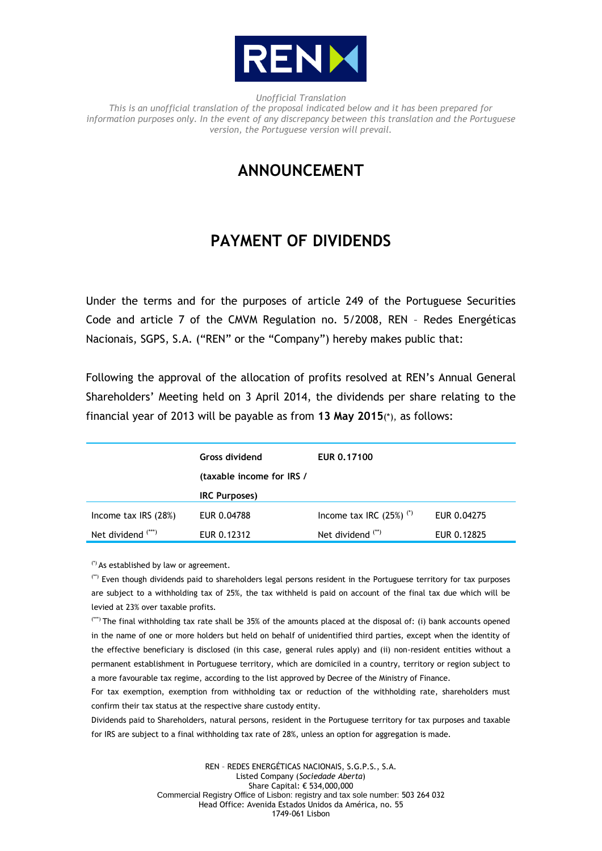

*Unofficial Translation This is an unofficial translation of the proposal indicated below and it has been prepared for information purposes only. In the event of any discrepancy between this translation and the Portuguese version, the Portuguese version will prevail.*

## **ANNOUNCEMENT**

## **PAYMENT OF DIVIDENDS**

Under the terms and for the purposes of article 249 of the Portuguese Securities Code and article 7 of the CMVM Regulation no. 5/2008, REN – Redes Energéticas Nacionais, SGPS, S.A. ("REN" or the "Company") hereby makes public that:

Following the approval of the allocation of profits resolved at REN's Annual General Shareholders' Meeting held on 3 April 2014, the dividends per share relating to the financial year of 2013 will be payable as from **13 May 2015**(\*), as follows:

|                               | <b>Gross dividend</b>     | EUR 0.17100                           |             |
|-------------------------------|---------------------------|---------------------------------------|-------------|
|                               | (taxable income for IRS / |                                       |             |
|                               | <b>IRC Purposes)</b>      |                                       |             |
| Income tax $IRS(28%)$         | EUR 0.04788               | Income tax IRC $(25%)$ <sup>(*)</sup> | EUR 0.04275 |
| Net dividend <sup>(***)</sup> | EUR 0.12312               | Net dividend <sup>(**)</sup>          | EUR 0.12825 |

(\*) As established by law or agreement.

(\*\*) Even though dividends paid to shareholders legal persons resident in the Portuguese territory for tax purposes are subject to a withholding tax of 25%, the tax withheld is paid on account of the final tax due which will be levied at 23% over taxable profits.

(\*\*\*) The final withholding tax rate shall be 35% of the amounts placed at the disposal of: (i) bank accounts opened in the name of one or more holders but held on behalf of unidentified third parties, except when the identity of the effective beneficiary is disclosed (in this case, general rules apply) and (ii) non-resident entities without a permanent establishment in Portuguese territory, which are domiciled in a country, territory or region subject to a more favourable tax regime, according to the list approved by Decree of the Ministry of Finance.

For tax exemption, exemption from withholding tax or reduction of the withholding rate, shareholders must confirm their tax status at the respective share custody entity.

Dividends paid to Shareholders, natural persons, resident in the Portuguese territory for tax purposes and taxable for IRS are subject to a final withholding tax rate of 28%, unless an option for aggregation is made.